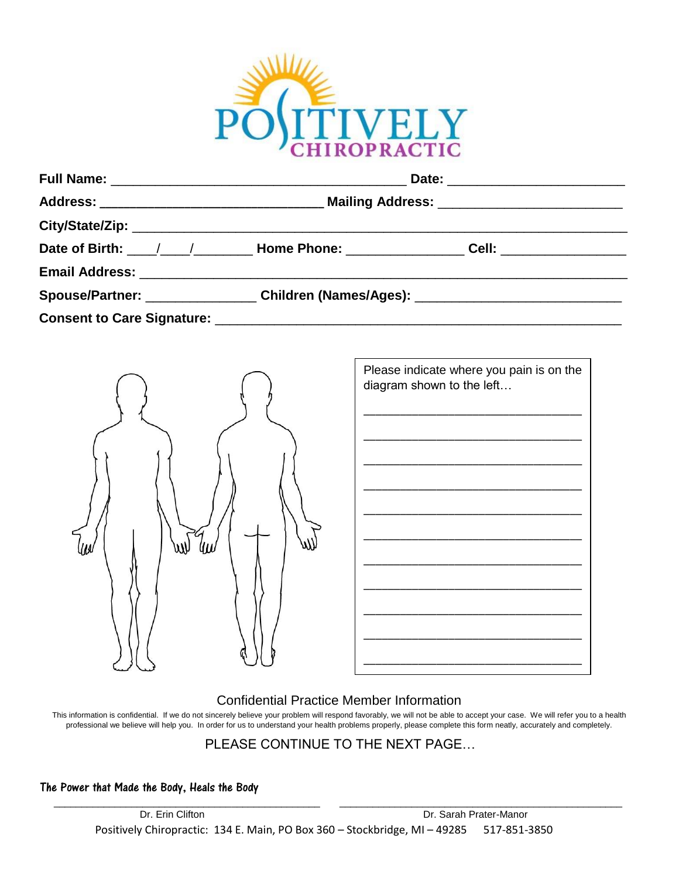

| Spouse/Partner: ____________________Children (Names/Ages): _____________________ |  |  |  |
|----------------------------------------------------------------------------------|--|--|--|
|                                                                                  |  |  |  |



| Please indicate where you pain is on the<br>diagram shown to the left |  |  |  |  |
|-----------------------------------------------------------------------|--|--|--|--|
|                                                                       |  |  |  |  |
|                                                                       |  |  |  |  |
|                                                                       |  |  |  |  |
|                                                                       |  |  |  |  |
|                                                                       |  |  |  |  |
|                                                                       |  |  |  |  |

## Confidential Practice Member Information

This information is confidential. If we do not sincerely believe your problem will respond favorably, we will not be able to accept your case. We will refer you to a health professional we believe will help you. In order for us to understand your health problems properly, please complete this form neatly, accurately and completely.

## PLEASE CONTINUE TO THE NEXT PAGE…

The Power that Made the Body, Heals the Body

 $\overline{\phantom{a}}$  , and the set of the set of the set of the set of the set of the set of the set of the set of the set of the set of the set of the set of the set of the set of the set of the set of the set of the set of the s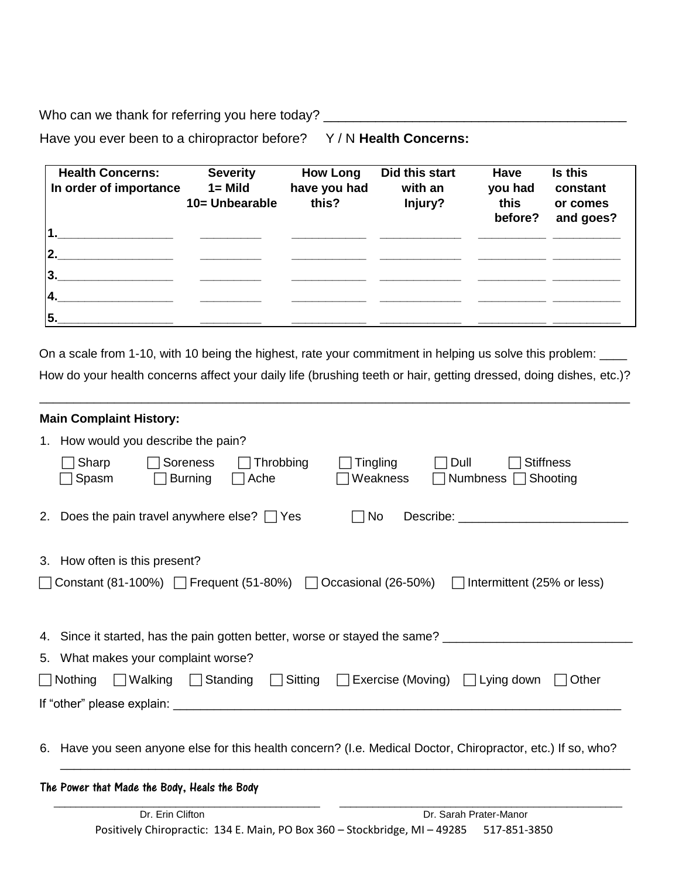Who can we thank for referring you here today? \_\_\_\_\_\_\_\_\_\_\_\_\_\_\_\_\_\_\_\_\_\_\_\_\_\_\_\_\_\_\_\_\_

Have you ever been to a chiropractor before? Y / N Health Concerns:

| <b>Health Concerns:</b><br>In order of importance | <b>Severity</b><br>$1 =$ Mild<br>10= Unbearable | <b>How Long</b><br>have you had<br>this? | Did this start<br>with an<br>Injury? | Have<br>you had<br>this<br>before? | Is this<br>constant<br>or comes<br>and goes? |
|---------------------------------------------------|-------------------------------------------------|------------------------------------------|--------------------------------------|------------------------------------|----------------------------------------------|
| 11.                                               |                                                 |                                          |                                      |                                    |                                              |
| 2.                                                |                                                 |                                          |                                      |                                    |                                              |
| 3.                                                |                                                 |                                          |                                      |                                    |                                              |
| 4                                                 |                                                 |                                          |                                      |                                    |                                              |
| 5.                                                |                                                 |                                          |                                      |                                    |                                              |

On a scale from 1-10, with 10 being the highest, rate your commitment in helping us solve this problem: \_\_\_\_ How do your health concerns affect your daily life (brushing teeth or hair, getting dressed, doing dishes, etc.)?

\_\_\_\_\_\_\_\_\_\_\_\_\_\_\_\_\_\_\_\_\_\_\_\_\_\_\_\_\_\_\_\_\_\_\_\_\_\_\_\_\_\_\_\_\_\_\_\_\_\_\_\_\_\_\_\_\_\_\_\_\_\_\_\_\_\_\_\_\_\_\_\_\_\_\_\_\_\_\_\_\_\_\_\_\_\_\_

| <b>Main Complaint History:</b>                                                                                                                                                                                                                                                                     |  |  |  |  |  |  |
|----------------------------------------------------------------------------------------------------------------------------------------------------------------------------------------------------------------------------------------------------------------------------------------------------|--|--|--|--|--|--|
| 1. How would you describe the pain?                                                                                                                                                                                                                                                                |  |  |  |  |  |  |
| Sharp<br>Soreness<br>Throbbing<br><b>Tingling</b><br>Dull<br><b>Stiffness</b><br>Spasm<br>Weakness<br>Numbness □ Shooting<br><b>Burning</b><br>$\Box$ Ache                                                                                                                                         |  |  |  |  |  |  |
| Does the pain travel anywhere else? $\Box$ Yes<br>$\Box$ No<br>Describe: the contract of the contract of the contract of the contract of the contract of the contract of the contract of the contract of the contract of the contract of the contract of the contract of the contract of the<br>2. |  |  |  |  |  |  |
| 3. How often is this present?                                                                                                                                                                                                                                                                      |  |  |  |  |  |  |
| $\bigcap$ Constant (81-100%) $\bigcap$ Frequent (51-80%) $\bigcap$ Occasional (26-50%)<br>$\Box$ Intermittent (25% or less)                                                                                                                                                                        |  |  |  |  |  |  |
| 4. Since it started, has the pain gotten better, worse or stayed the same? _________________________                                                                                                                                                                                               |  |  |  |  |  |  |
| 5. What makes your complaint worse?                                                                                                                                                                                                                                                                |  |  |  |  |  |  |
| $\Box$ Sitting<br>$\Box$ Nothing<br>Walking<br>Standing<br>Exercise (Moving) $\Box$ Lying down<br>Other<br>$\perp$<br>$\perp$                                                                                                                                                                      |  |  |  |  |  |  |
| If "other" please explain: example and a series of the series of the series of the series of the series of the                                                                                                                                                                                     |  |  |  |  |  |  |
| 6. Have you seen anyone else for this health concern? (I.e. Medical Doctor, Chiropractor, etc.) If so, who?                                                                                                                                                                                        |  |  |  |  |  |  |
| The Power that Made the Body, Heals the Body                                                                                                                                                                                                                                                       |  |  |  |  |  |  |
| Dr. Erin Clifton<br>Dr. Sarah Prater-Manor<br>Desitively Chinesepotics 124 E. Main, DO Boy 260. Charles New 40205. E17 0E1 20E0                                                                                                                                                                    |  |  |  |  |  |  |
|                                                                                                                                                                                                                                                                                                    |  |  |  |  |  |  |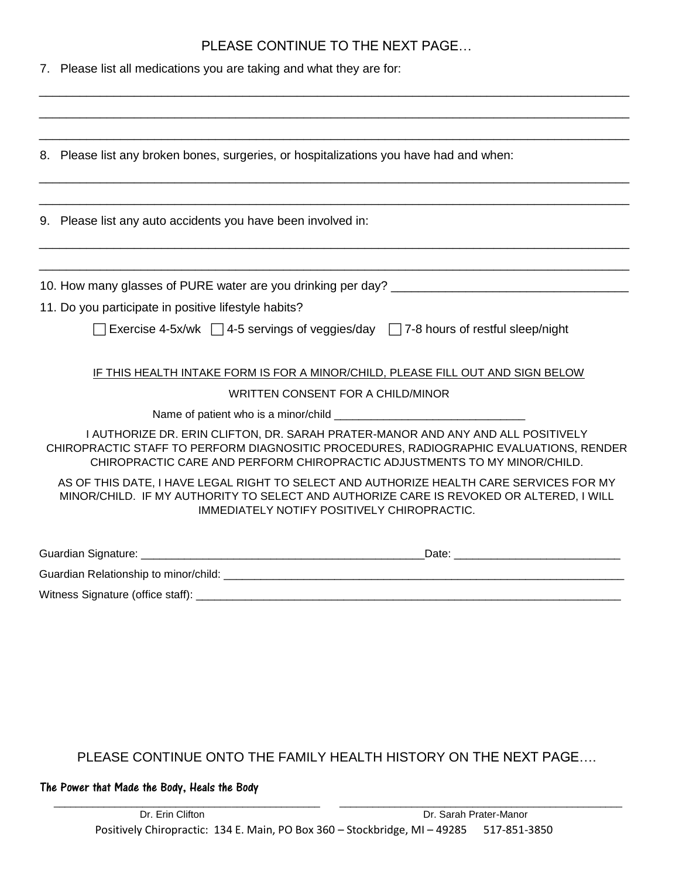## PLEASE CONTINUE TO THE NEXT PAGE…

\_\_\_\_\_\_\_\_\_\_\_\_\_\_\_\_\_\_\_\_\_\_\_\_\_\_\_\_\_\_\_\_\_\_\_\_\_\_\_\_\_\_\_\_\_\_\_\_\_\_\_\_\_\_\_\_\_\_\_\_\_\_\_\_\_\_\_\_\_\_\_\_\_\_\_\_\_\_\_\_\_\_\_\_\_\_\_

7. Please list all medications you are taking and what they are for:

| 8. Please list any broken bones, surgeries, or hospitalizations you have had and when:<br>9. Please list any auto accidents you have been involved in:<br>11. Do you participate in positive lifestyle habits?<br>Exercise 4-5x/wk $\Box$ 4-5 servings of veggies/day $\Box$ 7-8 hours of restful sleep/night<br>IF THIS HEALTH INTAKE FORM IS FOR A MINOR/CHILD, PLEASE FILL OUT AND SIGN BELOW<br><b>WRITTEN CONSENT FOR A CHILD/MINOR</b><br>I AUTHORIZE DR. ERIN CLIFTON, DR. SARAH PRATER-MANOR AND ANY AND ALL POSITIVELY<br>CHIROPRACTIC STAFF TO PERFORM DIAGNOSITIC PROCEDURES, RADIOGRAPHIC EVALUATIONS, RENDER<br>CHIROPRACTIC CARE AND PERFORM CHIROPRACTIC ADJUSTMENTS TO MY MINOR/CHILD.<br>AS OF THIS DATE, I HAVE LEGAL RIGHT TO SELECT AND AUTHORIZE HEALTH CARE SERVICES FOR MY<br>MINOR/CHILD. IF MY AUTHORITY TO SELECT AND AUTHORIZE CARE IS REVOKED OR ALTERED, I WILL<br>IMMEDIATELY NOTIFY POSITIVELY CHIROPRACTIC.<br>Witness Signature (office staff): |  |
|----------------------------------------------------------------------------------------------------------------------------------------------------------------------------------------------------------------------------------------------------------------------------------------------------------------------------------------------------------------------------------------------------------------------------------------------------------------------------------------------------------------------------------------------------------------------------------------------------------------------------------------------------------------------------------------------------------------------------------------------------------------------------------------------------------------------------------------------------------------------------------------------------------------------------------------------------------------------------------|--|
|                                                                                                                                                                                                                                                                                                                                                                                                                                                                                                                                                                                                                                                                                                                                                                                                                                                                                                                                                                                  |  |
|                                                                                                                                                                                                                                                                                                                                                                                                                                                                                                                                                                                                                                                                                                                                                                                                                                                                                                                                                                                  |  |
|                                                                                                                                                                                                                                                                                                                                                                                                                                                                                                                                                                                                                                                                                                                                                                                                                                                                                                                                                                                  |  |
|                                                                                                                                                                                                                                                                                                                                                                                                                                                                                                                                                                                                                                                                                                                                                                                                                                                                                                                                                                                  |  |
|                                                                                                                                                                                                                                                                                                                                                                                                                                                                                                                                                                                                                                                                                                                                                                                                                                                                                                                                                                                  |  |
|                                                                                                                                                                                                                                                                                                                                                                                                                                                                                                                                                                                                                                                                                                                                                                                                                                                                                                                                                                                  |  |
|                                                                                                                                                                                                                                                                                                                                                                                                                                                                                                                                                                                                                                                                                                                                                                                                                                                                                                                                                                                  |  |
|                                                                                                                                                                                                                                                                                                                                                                                                                                                                                                                                                                                                                                                                                                                                                                                                                                                                                                                                                                                  |  |
|                                                                                                                                                                                                                                                                                                                                                                                                                                                                                                                                                                                                                                                                                                                                                                                                                                                                                                                                                                                  |  |
|                                                                                                                                                                                                                                                                                                                                                                                                                                                                                                                                                                                                                                                                                                                                                                                                                                                                                                                                                                                  |  |
|                                                                                                                                                                                                                                                                                                                                                                                                                                                                                                                                                                                                                                                                                                                                                                                                                                                                                                                                                                                  |  |
|                                                                                                                                                                                                                                                                                                                                                                                                                                                                                                                                                                                                                                                                                                                                                                                                                                                                                                                                                                                  |  |
|                                                                                                                                                                                                                                                                                                                                                                                                                                                                                                                                                                                                                                                                                                                                                                                                                                                                                                                                                                                  |  |
|                                                                                                                                                                                                                                                                                                                                                                                                                                                                                                                                                                                                                                                                                                                                                                                                                                                                                                                                                                                  |  |
|                                                                                                                                                                                                                                                                                                                                                                                                                                                                                                                                                                                                                                                                                                                                                                                                                                                                                                                                                                                  |  |
|                                                                                                                                                                                                                                                                                                                                                                                                                                                                                                                                                                                                                                                                                                                                                                                                                                                                                                                                                                                  |  |
|                                                                                                                                                                                                                                                                                                                                                                                                                                                                                                                                                                                                                                                                                                                                                                                                                                                                                                                                                                                  |  |

PLEASE CONTINUE ONTO THE FAMILY HEALTH HISTORY ON THE NEXT PAGE….

The Power that Made the Body, Heals the Body

 $\overline{\phantom{a}}$  , and the set of the set of the set of the set of the set of the set of the set of the set of the set of the set of the set of the set of the set of the set of the set of the set of the set of the set of the s